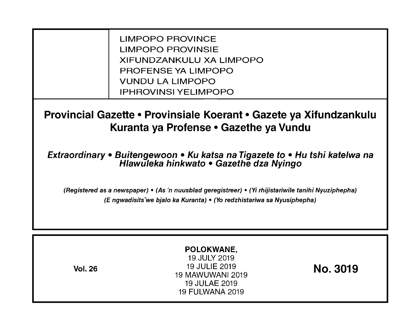LIMPOPO PROVINCE LIMPOPO PROVINSIE XIFUNDZANKULU XA LIMPOPO PROFENSE YA LIMPOPO VUNDU LA LIMPOPO IPHROVINSI YELIMPOPO

**Provincial Gazette • Provinsiale Koerant • Gazete ya Xifundzankulu Kuranta ya Profense • Gazethe ya Vundu** 

**Extraordinary • Buitengewoon • Ku katsa na Tigazete to • Hu tshi katelwa na Hlawuleka hinkwato • Gazethe dza Nyingo** 

(Registered as a newspaper) • (As 'n nuusblad geregistreer) • (Yi rhijistariwile tanihi Nyuziphepha) (E ngwadisitsVwe bjalo ka Kuranta) • (Yo redzhistariwa sa Nyusiphepha)

| POLOKWANE,<br>19 JULY 2019<br>19 JULIE 2019<br><b>Vol. 26</b><br><b>19 MAWUWANI 2019</b><br>19 JULAE 2019<br><b>19 FULWANA 2019</b> | No. 3019 |
|-------------------------------------------------------------------------------------------------------------------------------------|----------|
|-------------------------------------------------------------------------------------------------------------------------------------|----------|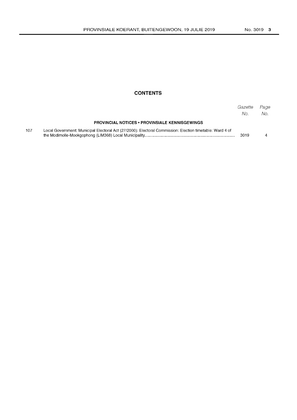## **CONTENTS**

|     |                                                                                                          | Gazette<br>No. | Page<br>No. |
|-----|----------------------------------------------------------------------------------------------------------|----------------|-------------|
|     | <b>PROVINCIAL NOTICES • PROVINSIALE KENNISGEWINGS</b>                                                    |                |             |
| 107 | Local Government: Municipal Electoral Act (27/2000): Electoral Commission: Election timetable: Ward 4 of | 3019           |             |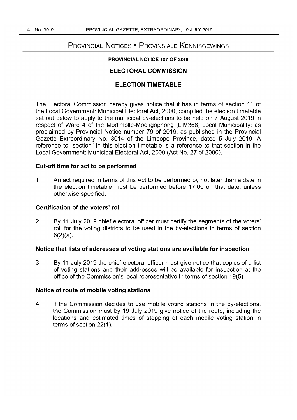# PROVINCIAL NOTICES • PROVINSIALE KENNISGEWINGS

## **PROVINCIAL NOTICE 107 OF 2019**

## **ELECTORAL COMMISSION**

## **ELECTION TIMETABLE**

**The** Electoral Commission hereby gives notice that it has in terms of section **11** of the Local Government: Municipal Electoral Act, 2000, compiled the election timetable set out below to apply to the municipal by-elections to be held on 7 August 2019 in respect of Ward 4 of the Modimolle-Mookgophong [LlM368] Local Municipality; as proclaimed by Provincial Notice number 79 of 2019, as published in the Provincial Gazette Extraordinary No. 3014 of the Limpopo Province, dated 5 July 2019. A reference to "section" in this election timetable is a reference to that section in the Local Government: Municipal Electoral Act, 2000 (Act No. 27 of 2000).

#### **Cut-off time for act to be performed**

1 An act required in terms of this Act to be performed by not later than a date in the election timetable must be performed before 17:00 on that date, unless otherwise specified.

#### **Certification of the voters' roll**

2 By **11** July 2019 chief electoral officer must certify the segments of the voters' roll for the voting districts to be used in the by-elections in terms of section 6(2)(a).

## **Notice that lists of addresses of voting stations are available for inspection**

3 By **11** July 2019 the chief electoral officer must give notice that copies of a list of voting stations and their addresses will be available for inspection at the office of the Commission's local representative in terms of section 19(5).

#### **Notice of route of mobile voting stations**

4 If the Commission decides to use mobile voting stations in the by-elections, the Commission must by 19 July 2019 give notice of the route, including the locations and estimated times of stopping of each mobile voting station in terms of section 22(1).